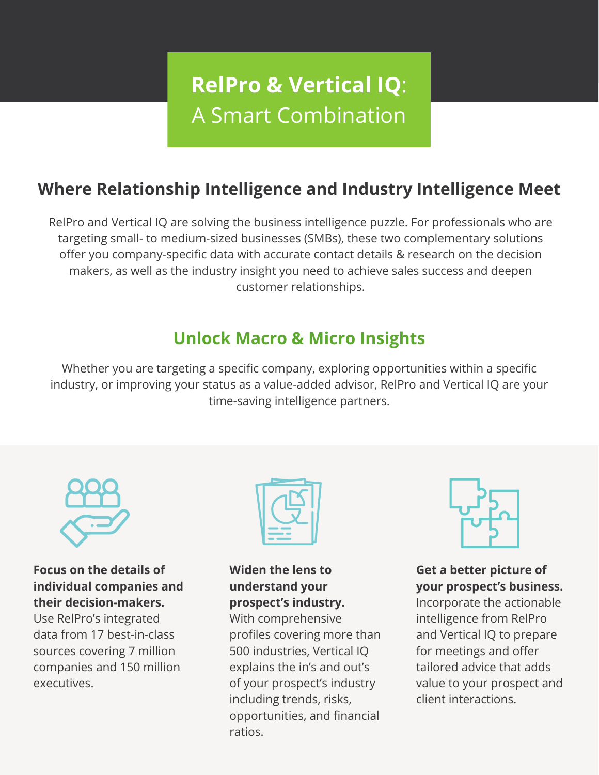# **RelPro & Vertical IQ**: A Smart Combination

# **Where Relationship Intelligence and Industry Intelligence Meet**

RelPro and Vertical IQ are solving the business intelligence puzzle. For professionals who are targeting small- to medium-sized businesses (SMBs), these two complementary solutions offer you company-specific data with accurate contact details & research on the decision makers, as well as the industry insight you need to achieve sales success and deepen customer relationships.

# **Unlock Macro & Micro Insights**

Whether you are targeting a specific company, exploring opportunities within a specific industry, or improving your status as a value-added advisor, RelPro and Vertical IQ are your time-saving intelligence partners.



#### **Focus on the details of individual companies and their decision-makers.**

Use RelPro's integrated data from 17 best-in-class sources covering 7 million companies and 150 million executives.



#### **Widen the lens to understand your prospect's industry.**

With comprehensive profiles covering more than 500 industries, Vertical IQ explains the in's and out's of your prospect's industry including trends, risks, opportunities, and financial ratios.



### **Get a better picture of your prospect's business.**

Incorporate the actionable intelligence from RelPro and Vertical IQ to prepare for meetings and offer tailored advice that adds value to your prospect and client interactions.